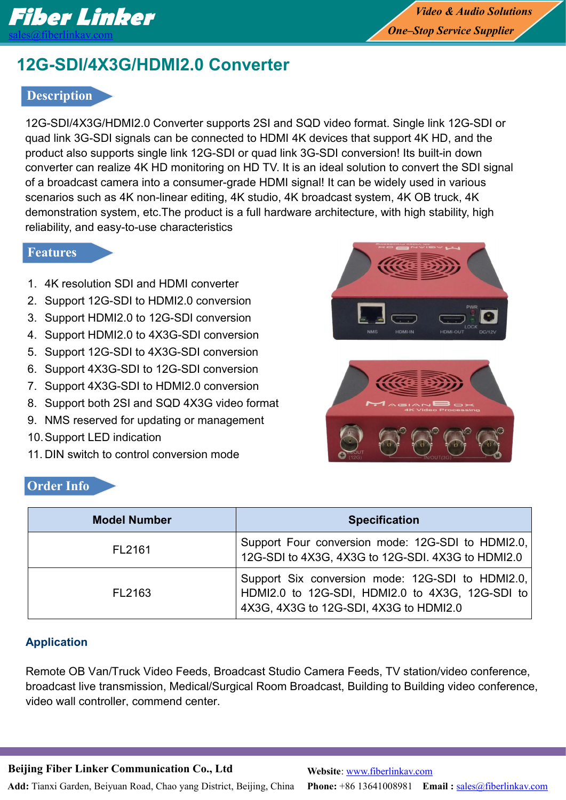

# **12G-SDI/4X3G/HDMI2.0 Converter**

## **Description**

12G-SDI/4X3G/HDMI2.0 Converter supports 2SI and SQD video format. Single link 12G-SDI or quad link 3G-SDI signals can be connected to HDMI 4K devices that support 4K HD, and the product also supports single link 12G-SDI or quad link 3G-SDI conversion! Its built-in down converter can realize 4K HD monitoring on HD TV. It is an ideal solution to convert the SDI signal of a broadcast camera into a consumer-grade HDMI signal! It can be widely used in various scenarios such as 4K non-linear editing, 4K studio, 4K broadcast system, 4K OB truck, 4K demonstration system, etc.The product is a full hardware architecture, with high stability, high reliability, and easy-to-use characteristics

## **Features**

- 1. 4K resolution SDI and HDMI converter
- 2. Support 12G-SDI to HDMI2.0 conversion
- 3. Support HDMI2.0 to 12G-SDI conversion
- 4. Support HDMI2.0 to 4X3G-SDI conversion
- 5. Support 12G-SDI to 4X3G-SDI conversion
- 6. Support 4X3G-SDI to 12G-SDI conversion
- 7. Support 4X3G-SDI to HDMI2.0 conversion
- 8. Support both 2SI and SQD 4X3G video format
- 9. NMS reserved for updating or management
- 10.Support LED indication
- 11. DIN switch to control conversion mode

# **Order Info**





| <b>Model Number</b> | <b>Specification</b>                                                                                                                          |
|---------------------|-----------------------------------------------------------------------------------------------------------------------------------------------|
| FL2161              | Support Four conversion mode: 12G-SDI to HDMI2.0,<br>12G-SDI to 4X3G, 4X3G to 12G-SDI. 4X3G to HDMI2.0                                        |
| FL2163              | Support Six conversion mode: 12G-SDI to HDMI2.0,<br>HDMI2.0 to 12G-SDI, HDMI2.0 to 4X3G, 12G-SDI to<br>4X3G, 4X3G to 12G-SDI, 4X3G to HDMI2.0 |

## **Application**

Remote OB Van/Truck Video Feeds, Broadcast Studio Camera Feeds, TV station/video conference, broadcast live transmission, Medical/Surgical Room Broadcast, Building to Building video conference, video wall controller, commend center.

**Beijing Fiber Linker Communication Co., Ltd**

**Add:** Tianxi Garden, Beiyuan Road, Chao yang District, Beijing, China